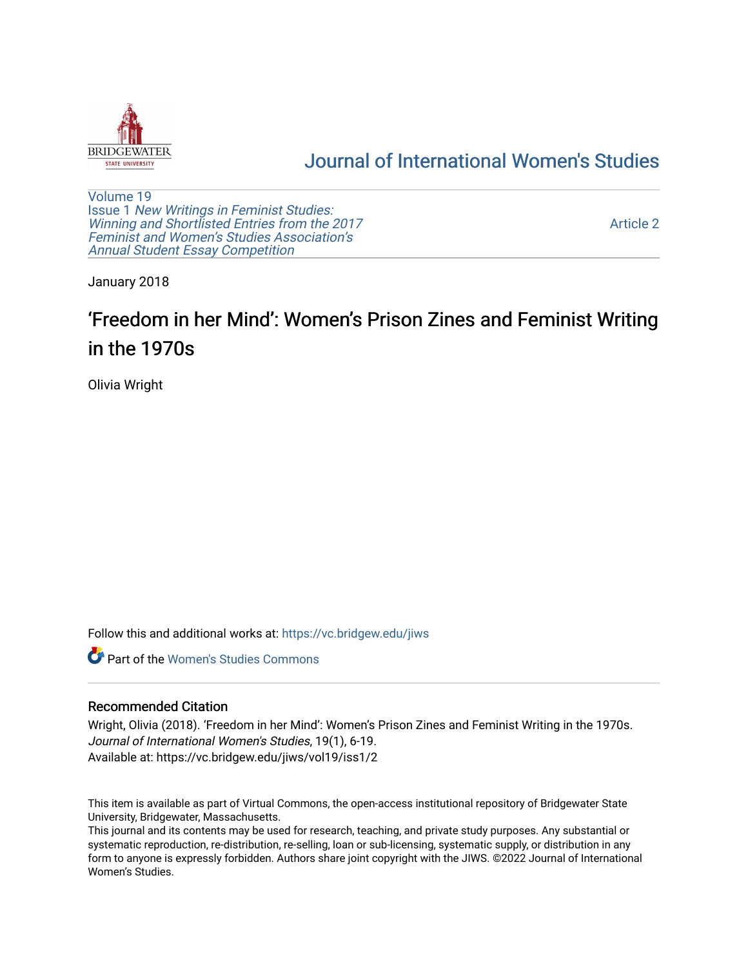

## [Journal of International Women's Studies](https://vc.bridgew.edu/jiws)

[Volume 19](https://vc.bridgew.edu/jiws/vol19) Issue 1 [New Writings in Feminist Studies:](https://vc.bridgew.edu/jiws/vol19/iss1)  [Winning and Shortlisted Entries from the 2017](https://vc.bridgew.edu/jiws/vol19/iss1) [Feminist and Women's Studies Association's](https://vc.bridgew.edu/jiws/vol19/iss1)  [Annual Student Essay Competition](https://vc.bridgew.edu/jiws/vol19/iss1) 

[Article 2](https://vc.bridgew.edu/jiws/vol19/iss1/2) 

January 2018

# 'Freedom in her Mind': Women's Prison Zines and Feminist Writing in the 1970s

Olivia Wright

Follow this and additional works at: [https://vc.bridgew.edu/jiws](https://vc.bridgew.edu/jiws?utm_source=vc.bridgew.edu%2Fjiws%2Fvol19%2Fiss1%2F2&utm_medium=PDF&utm_campaign=PDFCoverPages)

**C** Part of the Women's Studies Commons

#### Recommended Citation

Wright, Olivia (2018). 'Freedom in her Mind': Women's Prison Zines and Feminist Writing in the 1970s. Journal of International Women's Studies, 19(1), 6-19. Available at: https://vc.bridgew.edu/jiws/vol19/iss1/2

This item is available as part of Virtual Commons, the open-access institutional repository of Bridgewater State University, Bridgewater, Massachusetts.

This journal and its contents may be used for research, teaching, and private study purposes. Any substantial or systematic reproduction, re-distribution, re-selling, loan or sub-licensing, systematic supply, or distribution in any form to anyone is expressly forbidden. Authors share joint copyright with the JIWS. ©2022 Journal of International Women's Studies.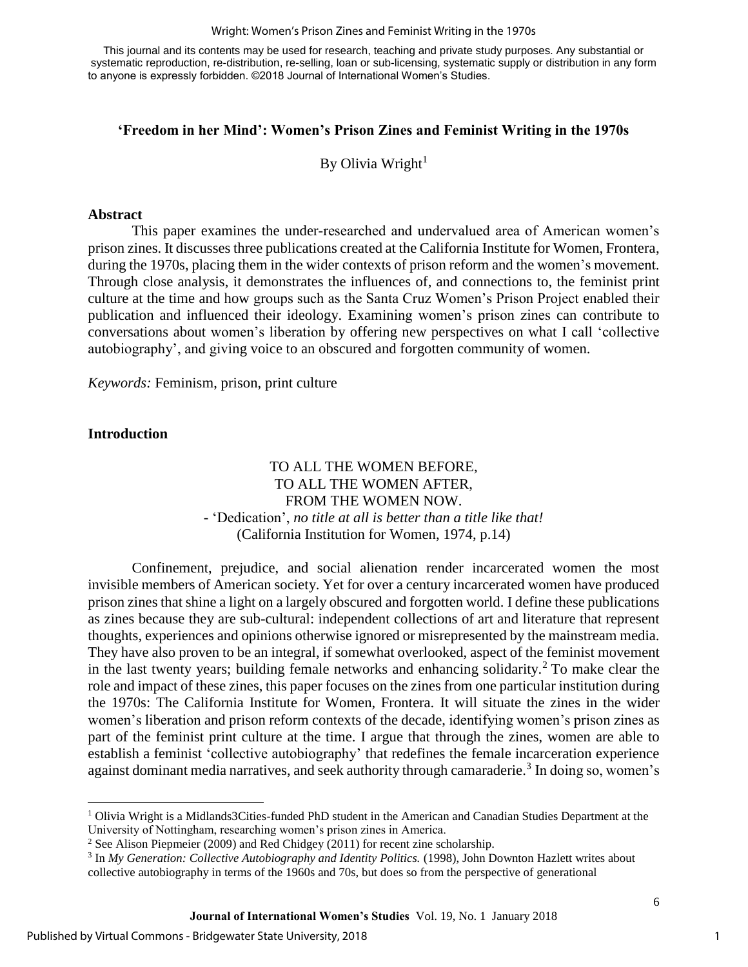#### Wright: Women's Prison Zines and Feminist Writing in the 1970s

This journal and its contents may be used for research, teaching and private study purposes. Any substantial or systematic reproduction, re-distribution, re-selling, loan or sub-licensing, systematic supply or distribution in any form to anyone is expressly forbidden. ©2018 Journal of International Women's Studies.

#### **'Freedom in her Mind': Women's Prison Zines and Feminist Writing in the 1970s**

By Olivia Wright $1$ 

#### **Abstract**

This paper examines the under-researched and undervalued area of American women's prison zines. It discusses three publications created at the California Institute for Women, Frontera, during the 1970s, placing them in the wider contexts of prison reform and the women's movement. Through close analysis, it demonstrates the influences of, and connections to, the feminist print culture at the time and how groups such as the Santa Cruz Women's Prison Project enabled their publication and influenced their ideology. Examining women's prison zines can contribute to conversations about women's liberation by offering new perspectives on what I call 'collective autobiography', and giving voice to an obscured and forgotten community of women.

*Keywords:* Feminism, prison, print culture

#### **Introduction**

 $\overline{\phantom{a}}$ 

#### TO ALL THE WOMEN BEFORE, TO ALL THE WOMEN AFTER, FROM THE WOMEN NOW. *-* 'Dedication', *no title at all is better than a title like that!*  (California Institution for Women, 1974, p.14)

Confinement, prejudice, and social alienation render incarcerated women the most invisible members of American society. Yet for over a century incarcerated women have produced prison zines that shine a light on a largely obscured and forgotten world. I define these publications as zines because they are sub-cultural: independent collections of art and literature that represent thoughts, experiences and opinions otherwise ignored or misrepresented by the mainstream media. They have also proven to be an integral, if somewhat overlooked, aspect of the feminist movement in the last twenty years; building female networks and enhancing solidarity.<sup>2</sup> To make clear the role and impact of these zines, this paper focuses on the zines from one particular institution during the 1970s: The California Institute for Women, Frontera. It will situate the zines in the wider women's liberation and prison reform contexts of the decade, identifying women's prison zines as part of the feminist print culture at the time. I argue that through the zines, women are able to establish a feminist 'collective autobiography' that redefines the female incarceration experience against dominant media narratives, and seek authority through camaraderie.<sup>3</sup> In doing so, women's

<sup>&</sup>lt;sup>1</sup> Olivia Wright is a Midlands3Cities-funded PhD student in the American and Canadian Studies Department at the University of Nottingham, researching women's prison zines in America.

<sup>&</sup>lt;sup>2</sup> See Alison Piepmeier (2009) and Red Chidgey (2011) for recent zine scholarship.

<sup>&</sup>lt;sup>3</sup> In *My Generation: Collective Autobiography and Identity Politics.* (1998), John Downton Hazlett writes about collective autobiography in terms of the 1960s and 70s, but does so from the perspective of generational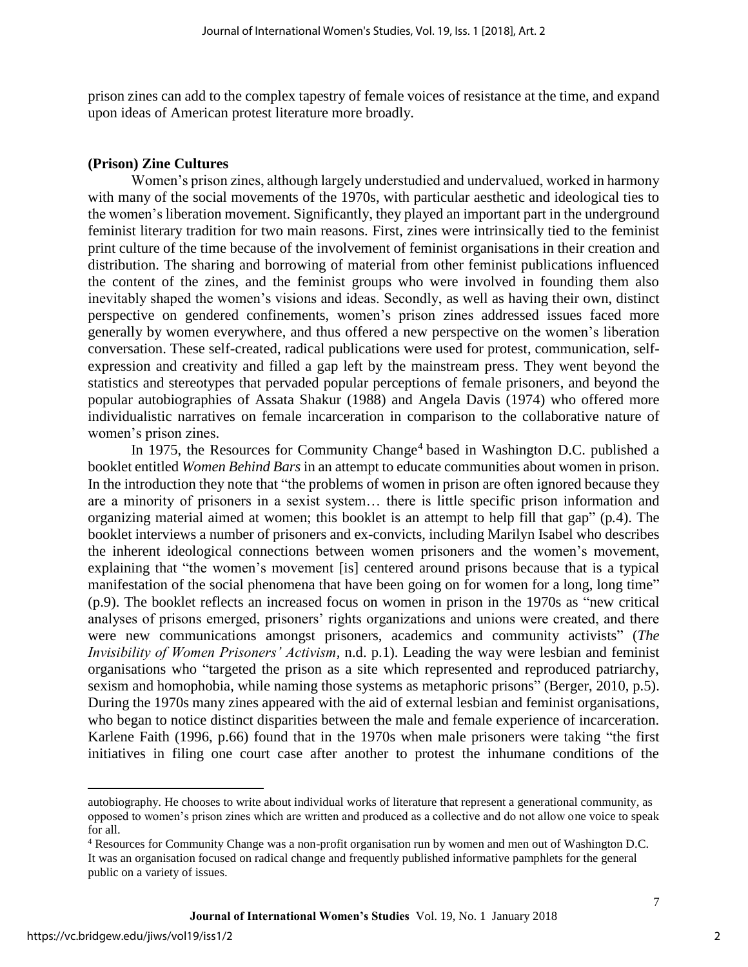prison zines can add to the complex tapestry of female voices of resistance at the time, and expand upon ideas of American protest literature more broadly.

#### **(Prison) Zine Cultures**

Women's prison zines, although largely understudied and undervalued, worked in harmony with many of the social movements of the 1970s, with particular aesthetic and ideological ties to the women's liberation movement. Significantly, they played an important part in the underground feminist literary tradition for two main reasons. First, zines were intrinsically tied to the feminist print culture of the time because of the involvement of feminist organisations in their creation and distribution. The sharing and borrowing of material from other feminist publications influenced the content of the zines, and the feminist groups who were involved in founding them also inevitably shaped the women's visions and ideas. Secondly, as well as having their own, distinct perspective on gendered confinements, women's prison zines addressed issues faced more generally by women everywhere, and thus offered a new perspective on the women's liberation conversation. These self-created, radical publications were used for protest, communication, selfexpression and creativity and filled a gap left by the mainstream press. They went beyond the statistics and stereotypes that pervaded popular perceptions of female prisoners, and beyond the popular autobiographies of Assata Shakur (1988) and Angela Davis (1974) who offered more individualistic narratives on female incarceration in comparison to the collaborative nature of women's prison zines.

In 1975, the Resources for Community Change<sup>4</sup> based in Washington D.C. published a booklet entitled *Women Behind Bars* in an attempt to educate communities about women in prison. In the introduction they note that "the problems of women in prison are often ignored because they are a minority of prisoners in a sexist system… there is little specific prison information and organizing material aimed at women; this booklet is an attempt to help fill that gap" (p*.*4). The booklet interviews a number of prisoners and ex-convicts, including Marilyn Isabel who describes the inherent ideological connections between women prisoners and the women's movement, explaining that "the women's movement [is] centered around prisons because that is a typical manifestation of the social phenomena that have been going on for women for a long, long time" (p.9). The booklet reflects an increased focus on women in prison in the 1970s as "new critical analyses of prisons emerged, prisoners' rights organizations and unions were created, and there were new communications amongst prisoners, academics and community activists" (*The Invisibility of Women Prisoners' Activism,* n.d. p.1). Leading the way were lesbian and feminist organisations who "targeted the prison as a site which represented and reproduced patriarchy, sexism and homophobia, while naming those systems as metaphoric prisons" (Berger, 2010, p.5). During the 1970s many zines appeared with the aid of external lesbian and feminist organisations, who began to notice distinct disparities between the male and female experience of incarceration. Karlene Faith (1996, p.66) found that in the 1970s when male prisoners were taking "the first initiatives in filing one court case after another to protest the inhumane conditions of the

 $\overline{\phantom{a}}$ 

autobiography. He chooses to write about individual works of literature that represent a generational community, as opposed to women's prison zines which are written and produced as a collective and do not allow one voice to speak for all.

<sup>4</sup> Resources for Community Change was a non-profit organisation run by women and men out of Washington D.C. It was an organisation focused on radical change and frequently published informative pamphlets for the general public on a variety of issues.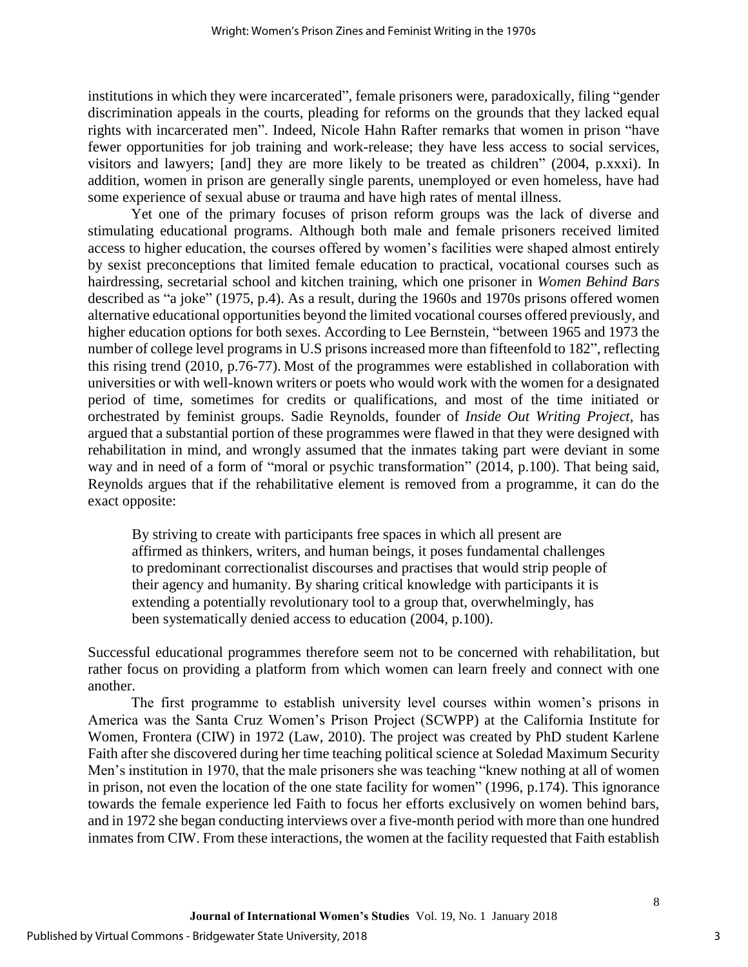institutions in which they were incarcerated", female prisoners were, paradoxically, filing "gender discrimination appeals in the courts, pleading for reforms on the grounds that they lacked equal rights with incarcerated men". Indeed, Nicole Hahn Rafter remarks that women in prison "have fewer opportunities for job training and work-release; they have less access to social services, visitors and lawyers; [and] they are more likely to be treated as children" (2004, p.xxxi). In addition, women in prison are generally single parents, unemployed or even homeless, have had some experience of sexual abuse or trauma and have high rates of mental illness.

Yet one of the primary focuses of prison reform groups was the lack of diverse and stimulating educational programs. Although both male and female prisoners received limited access to higher education, the courses offered by women's facilities were shaped almost entirely by sexist preconceptions that limited female education to practical, vocational courses such as hairdressing, secretarial school and kitchen training, which one prisoner in *Women Behind Bars* described as "a joke" (1975, p.4). As a result, during the 1960s and 1970s prisons offered women alternative educational opportunities beyond the limited vocational courses offered previously, and higher education options for both sexes. According to Lee Bernstein, "between 1965 and 1973 the number of college level programs in U.S prisons increased more than fifteenfold to 182", reflecting this rising trend (2010, p.76-77). Most of the programmes were established in collaboration with universities or with well-known writers or poets who would work with the women for a designated period of time, sometimes for credits or qualifications, and most of the time initiated or orchestrated by feminist groups. Sadie Reynolds, founder of *Inside Out Writing Project,* has argued that a substantial portion of these programmes were flawed in that they were designed with rehabilitation in mind, and wrongly assumed that the inmates taking part were deviant in some way and in need of a form of "moral or psychic transformation" (2014, p.100). That being said, Reynolds argues that if the rehabilitative element is removed from a programme, it can do the exact opposite:

By striving to create with participants free spaces in which all present are affirmed as thinkers, writers, and human beings, it poses fundamental challenges to predominant correctionalist discourses and practises that would strip people of their agency and humanity. By sharing critical knowledge with participants it is extending a potentially revolutionary tool to a group that, overwhelmingly, has been systematically denied access to education (2004, p.100).

Successful educational programmes therefore seem not to be concerned with rehabilitation, but rather focus on providing a platform from which women can learn freely and connect with one another.

The first programme to establish university level courses within women's prisons in America was the Santa Cruz Women's Prison Project (SCWPP) at the California Institute for Women, Frontera (CIW) in 1972 (Law, 2010). The project was created by PhD student Karlene Faith after she discovered during her time teaching political science at Soledad Maximum Security Men's institution in 1970, that the male prisoners she was teaching "knew nothing at all of women in prison, not even the location of the one state facility for women" (1996, p.174). This ignorance towards the female experience led Faith to focus her efforts exclusively on women behind bars, and in 1972 she began conducting interviews over a five-month period with more than one hundred inmates from CIW. From these interactions, the women at the facility requested that Faith establish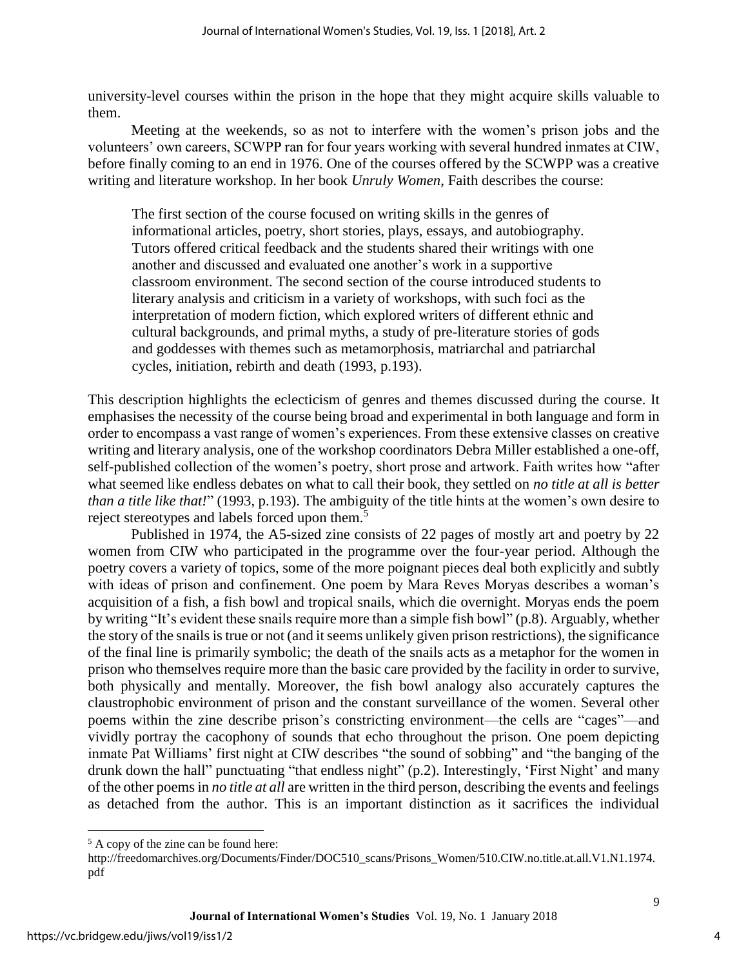university-level courses within the prison in the hope that they might acquire skills valuable to them.

Meeting at the weekends, so as not to interfere with the women's prison jobs and the volunteers' own careers, SCWPP ran for four years working with several hundred inmates at CIW, before finally coming to an end in 1976. One of the courses offered by the SCWPP was a creative writing and literature workshop. In her book *Unruly Women*, Faith describes the course:

The first section of the course focused on writing skills in the genres of informational articles, poetry, short stories, plays, essays, and autobiography. Tutors offered critical feedback and the students shared their writings with one another and discussed and evaluated one another's work in a supportive classroom environment. The second section of the course introduced students to literary analysis and criticism in a variety of workshops, with such foci as the interpretation of modern fiction, which explored writers of different ethnic and cultural backgrounds, and primal myths, a study of pre-literature stories of gods and goddesses with themes such as metamorphosis, matriarchal and patriarchal cycles, initiation, rebirth and death (1993, p.193).

This description highlights the eclecticism of genres and themes discussed during the course. It emphasises the necessity of the course being broad and experimental in both language and form in order to encompass a vast range of women's experiences. From these extensive classes on creative writing and literary analysis, one of the workshop coordinators Debra Miller established a one-off, self-published collection of the women's poetry, short prose and artwork. Faith writes how "after what seemed like endless debates on what to call their book, they settled on *no title at all is better than a title like that!*" (1993, p.193). The ambiguity of the title hints at the women's own desire to reject stereotypes and labels forced upon them.<sup>5</sup>

Published in 1974, the A5-sized zine consists of 22 pages of mostly art and poetry by 22 women from CIW who participated in the programme over the four-year period. Although the poetry covers a variety of topics, some of the more poignant pieces deal both explicitly and subtly with ideas of prison and confinement. One poem by Mara Reves Moryas describes a woman's acquisition of a fish, a fish bowl and tropical snails, which die overnight. Moryas ends the poem by writing "It's evident these snails require more than a simple fish bowl" (p.8). Arguably, whether the story of the snails is true or not (and it seems unlikely given prison restrictions), the significance of the final line is primarily symbolic; the death of the snails acts as a metaphor for the women in prison who themselves require more than the basic care provided by the facility in order to survive, both physically and mentally. Moreover, the fish bowl analogy also accurately captures the claustrophobic environment of prison and the constant surveillance of the women. Several other poems within the zine describe prison's constricting environment—the cells are "cages"—and vividly portray the cacophony of sounds that echo throughout the prison. One poem depicting inmate Pat Williams' first night at CIW describes "the sound of sobbing" and "the banging of the drunk down the hall" punctuating "that endless night" (p.2). Interestingly, 'First Night' and many of the other poems in *no title at all* are written in the third person, describing the events and feelings as detached from the author. This is an important distinction as it sacrifices the individual

 $\overline{\phantom{a}}$ 

<sup>5</sup> A copy of the zine can be found here:

http://freedomarchives.org/Documents/Finder/DOC510\_scans/Prisons\_Women/510.CIW.no.title.at.all.V1.N1.1974. pdf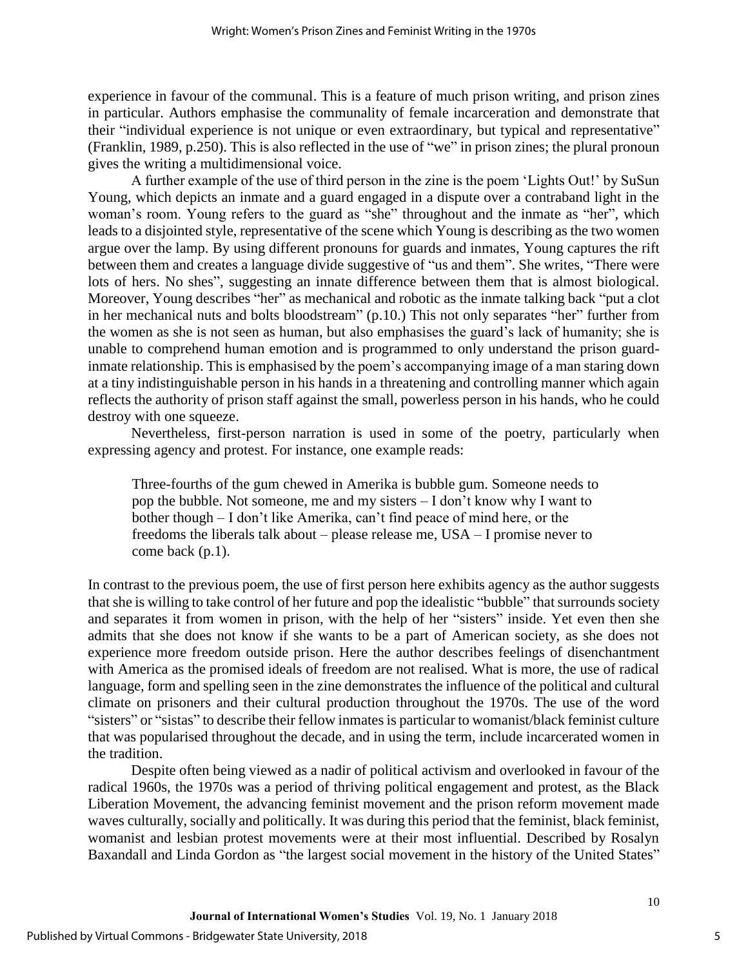experience in favour of the communal. This is a feature of much prison writing, and prison zines in particular. Authors emphasise the communality of female incarceration and demonstrate that their "individual experience is not unique or even extraordinary, but typical and representative" (Franklin, 1989, p.250). This is also reflected in the use of "we" in prison zines; the plural pronoun gives the writing a multidimensional voice.

A further example of the use of third person in the zine is the poem 'Lights Out!' by SuSun Young, which depicts an inmate and a guard engaged in a dispute over a contraband light in the woman's room. Young refers to the guard as "she" throughout and the inmate as "her", which leads to a disjointed style, representative of the scene which Young is describing as the two women argue over the lamp. By using different pronouns for guards and inmates, Young captures the rift between them and creates a language divide suggestive of "us and them". She writes, "There were lots of hers. No shes", suggesting an innate difference between them that is almost biological. Moreover, Young describes "her" as mechanical and robotic as the inmate talking back "put a clot in her mechanical nuts and bolts bloodstream" (p.10.) This not only separates "her" further from the women as she is not seen as human, but also emphasises the guard's lack of humanity; she is unable to comprehend human emotion and is programmed to only understand the prison guardinmate relationship. This is emphasised by the poem's accompanying image of a man staring down at a tiny indistinguishable person in his hands in a threatening and controlling manner which again reflects the authority of prison staff against the small, powerless person in his hands, who he could destroy with one squeeze.

Nevertheless, first-person narration is used in some of the poetry, particularly when expressing agency and protest. For instance, one example reads:

Three-fourths of the gum chewed in Amerika is bubble gum. Someone needs to pop the bubble. Not someone, me and my sisters – I don't know why I want to bother though – I don't like Amerika, can't find peace of mind here, or the freedoms the liberals talk about – please release me, USA – I promise never to come back (p.1).

In contrast to the previous poem, the use of first person here exhibits agency as the author suggests that she is willing to take control of her future and pop the idealistic "bubble" that surrounds society and separates it from women in prison, with the help of her "sisters" inside. Yet even then she admits that she does not know if she wants to be a part of American society, as she does not experience more freedom outside prison. Here the author describes feelings of disenchantment with America as the promised ideals of freedom are not realised. What is more, the use of radical language, form and spelling seen in the zine demonstrates the influence of the political and cultural climate on prisoners and their cultural production throughout the 1970s. The use of the word "sisters" or "sistas" to describe their fellow inmates is particular to womanist/black feminist culture that was popularised throughout the decade, and in using the term, include incarcerated women in the tradition.

Despite often being viewed as a nadir of political activism and overlooked in favour of the radical 1960s, the 1970s was a period of thriving political engagement and protest, as the Black Liberation Movement, the advancing feminist movement and the prison reform movement made waves culturally, socially and politically. It was during this period that the feminist, black feminist, womanist and lesbian protest movements were at their most influential. Described by Rosalyn Baxandall and Linda Gordon as "the largest social movement in the history of the United States"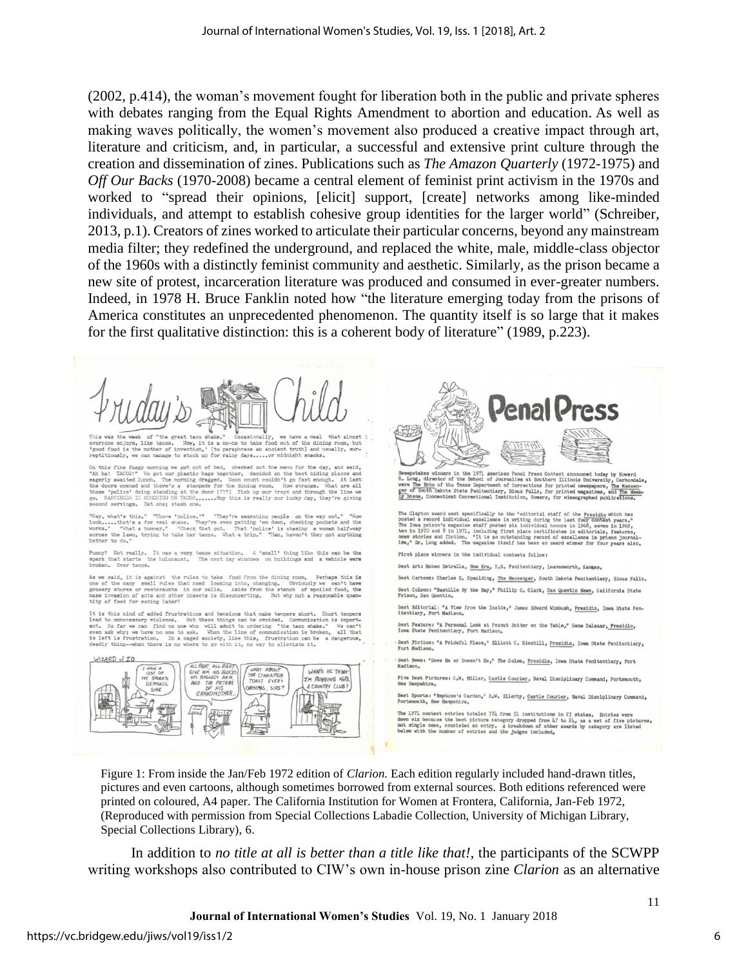(2002, p.414), the woman's movement fought for liberation both in the public and private spheres with debates ranging from the Equal Rights Amendment to abortion and education. As well as making waves politically, the women's movement also produced a creative impact through art, literature and criticism, and, in particular, a successful and extensive print culture through the creation and dissemination of zines. Publications such as *The Amazon Quarterly* (1972-1975) and *Off Our Backs* (1970-2008) became a central element of feminist print activism in the 1970s and worked to "spread their opinions, [elicit] support, [create] networks among like-minded individuals, and attempt to establish cohesive group identities for the larger world" (Schreiber, 2013, p.1). Creators of zines worked to articulate their particular concerns, beyond any mainstream media filter; they redefined the underground, and replaced the white, male, middle-class objector of the 1960s with a distinctly feminist community and aesthetic. Similarly, as the prison became a new site of protest, incarceration literature was produced and consumed in ever-greater numbers. Indeed, in 1978 H. Bruce Fanklin noted how "the literature emerging today from the prisons of America constitutes an unprecedented phenomenon. The quantity itself is so large that it makes for the first qualitative distinction: this is a coherent body of literature" (1989, p.223).

**Penal Press** was use week or "use great taco" since - "occasionally, we mave a media "usa amount of the dining roca, but<br>one enjoys, like tacos. Now, it is a no-no to take food out of the dining roca, but<br>food is the mother of inventio On this fine foggy morning we got out of bed, checked out the menu for the day, and said, "Ah ha! TACOS!" We got our plastic bags together, decided on the best hiding places and eagenly awaited lumch. The morning dragged. Sweepstakes winners in the 1971 American Penal Press Contest announced today by However of the School of Journalism at Southern Illinois University, Carbon aver the School of Journalism at School of Journalism and The Mer second servings. Eat one; stash one.<br>"Hey, what's this." "They're searching people on the way out." "Now the basic of the Way out." "Now look....that's a for real shake. They're even patting 'em down, checking pockets and The Clayton award went specifically to the "editorial staff of the Presidio which has posted a record infividual scoaline in writing during the last four Tom I909, the IGM and The IGM approximate the comparison of the IGM Punny? Not really. It was a very tense situation. A 'small' thing like this can be the broken the holocaust. The next day windows on buildings and a vehicle were broken. First place winners in the individual contests follow: Best Art: Ruben Estrella, New Era, U.S. Penitentiary, Leavenworth, Kangas. As we said, it is against the rules to take food from the dining room. Perhaps this is one of the many small rules that need looking into, changing. Obviously we can't have grocery stores or restoraunts in our cells. Aside Best Cartoon: Charles E. Spaulding, The Messenger, South Dakota Penitentiary, Sioux Falls. Best Column: "Bastille By the Bay," Phillip C. Clark, San Quentin News, California State Best Editorial: "A View from the Inside," James Edward Wimbush, Presidio, Iowa State Pen-itentiary, Fort Madison. It is this kind of added frustrations and tensions that make tempers short. It is this kind of added frustrations and tensions are haske tempers short. Short temperature lead to unnecessary violence. But these things can be avoided. Communication is imported lead to unnecessary violence. But the Best Feature: "A Personal Look at Peanut Butter on the Table," Gene Salazar, Presidio, Best Fiction: "A Prideful Place," Elliott C. Ricehill, <u>Presidio</u>, Iowa State Penitentiary,<br>Fort Madison. WIZARD of ID Best News: "Does He or Doesn't He," The Golem, Presidio, Iowa State Penitentiary, Fort WHAT'S HE THINK THE CINNAMON<br>THE CINNAMON<br>JANSTMAS, SIRE? Five Best Pictures: C.W. Miller, Castle Courier, Naval Disciplinary Command, Portsmouth, New Hampshire. I'M RUNNING HERE THE<br>OF A COUNTRY CLUB? HIS<br>HIS<br>IOTHER. Best Sports: "Neptune's Garden," R.W. Ellerby, Castle Courier, Naval Disciplinary Command, Portsmouth, New Hampshire. The 1971 contest entries totaled 774 from 51 institutions in 27 states. Entries were down six because the best picture category dropped from 17 to 24, as a set of five pictures, not single ones, consisted an entry. A brea

Figure 1: From inside the Jan/Feb 1972 edition of *Clarion.* Each edition regularly included hand-drawn titles, pictures and even cartoons, although sometimes borrowed from external sources. Both editions referenced were printed on coloured, A4 paper. The California Institution for Women at Frontera, California, Jan-Feb 1972, (Reproduced with permission from Special Collections Labadie Collection, University of Michigan Library, Special Collections Library), 6.

In addition to *no title at all is better than a title like that!,* the participants of the SCWPP writing workshops also contributed to CIW's own in-house prison zine *Clarion* as an alternative

**Journal of International Women's Studies** Vol. 19, No. 1 January 2018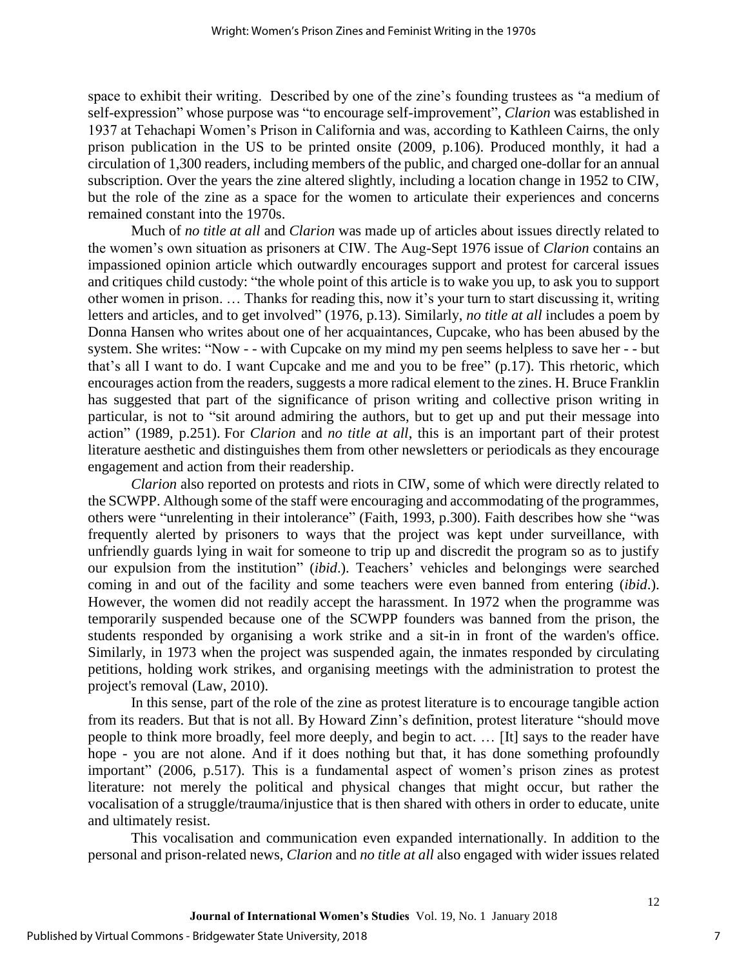space to exhibit their writing. Described by one of the zine's founding trustees as "a medium of self-expression" whose purpose was "to encourage self-improvement", *Clarion* was established in 1937 at Tehachapi Women's Prison in California and was, according to Kathleen Cairns, the only prison publication in the US to be printed onsite (2009, p.106). Produced monthly, it had a circulation of 1,300 readers, including members of the public, and charged one-dollar for an annual subscription. Over the years the zine altered slightly, including a location change in 1952 to CIW, but the role of the zine as a space for the women to articulate their experiences and concerns remained constant into the 1970s.

Much of *no title at all* and *Clarion* was made up of articles about issues directly related to the women's own situation as prisoners at CIW. The Aug-Sept 1976 issue of *Clarion* contains an impassioned opinion article which outwardly encourages support and protest for carceral issues and critiques child custody: "the whole point of this article is to wake you up, to ask you to support other women in prison. … Thanks for reading this, now it's your turn to start discussing it, writing letters and articles, and to get involved" (1976, p.13). Similarly, *no title at all* includes a poem by Donna Hansen who writes about one of her acquaintances, Cupcake, who has been abused by the system. She writes: "Now - - with Cupcake on my mind my pen seems helpless to save her - - but that's all I want to do. I want Cupcake and me and you to be free" (p.17). This rhetoric, which encourages action from the readers, suggests a more radical element to the zines. H. Bruce Franklin has suggested that part of the significance of prison writing and collective prison writing in particular, is not to "sit around admiring the authors, but to get up and put their message into action" (1989, p.251). For *Clarion* and *no title at all*, this is an important part of their protest literature aesthetic and distinguishes them from other newsletters or periodicals as they encourage engagement and action from their readership.

*Clarion* also reported on protests and riots in CIW, some of which were directly related to the SCWPP. Although some of the staff were encouraging and accommodating of the programmes, others were "unrelenting in their intolerance" (Faith, 1993, p.300). Faith describes how she "was frequently alerted by prisoners to ways that the project was kept under surveillance, with unfriendly guards lying in wait for someone to trip up and discredit the program so as to justify our expulsion from the institution" (*ibid*.). Teachers' vehicles and belongings were searched coming in and out of the facility and some teachers were even banned from entering (*ibid*.). However, the women did not readily accept the harassment. In 1972 when the programme was temporarily suspended because one of the SCWPP founders was banned from the prison, the students responded by organising a work strike and a sit-in in front of the warden's office. Similarly, in 1973 when the project was suspended again, the inmates responded by circulating petitions, holding work strikes, and organising meetings with the administration to protest the project's removal (Law, 2010).

In this sense, part of the role of the zine as protest literature is to encourage tangible action from its readers. But that is not all. By Howard Zinn's definition, protest literature "should move people to think more broadly, feel more deeply, and begin to act. … [It] says to the reader have hope - you are not alone. And if it does nothing but that, it has done something profoundly important" (2006, p.517). This is a fundamental aspect of women's prison zines as protest literature: not merely the political and physical changes that might occur, but rather the vocalisation of a struggle/trauma/injustice that is then shared with others in order to educate, unite and ultimately resist.

This vocalisation and communication even expanded internationally. In addition to the personal and prison-related news, *Clarion* and *no title at all* also engaged with wider issues related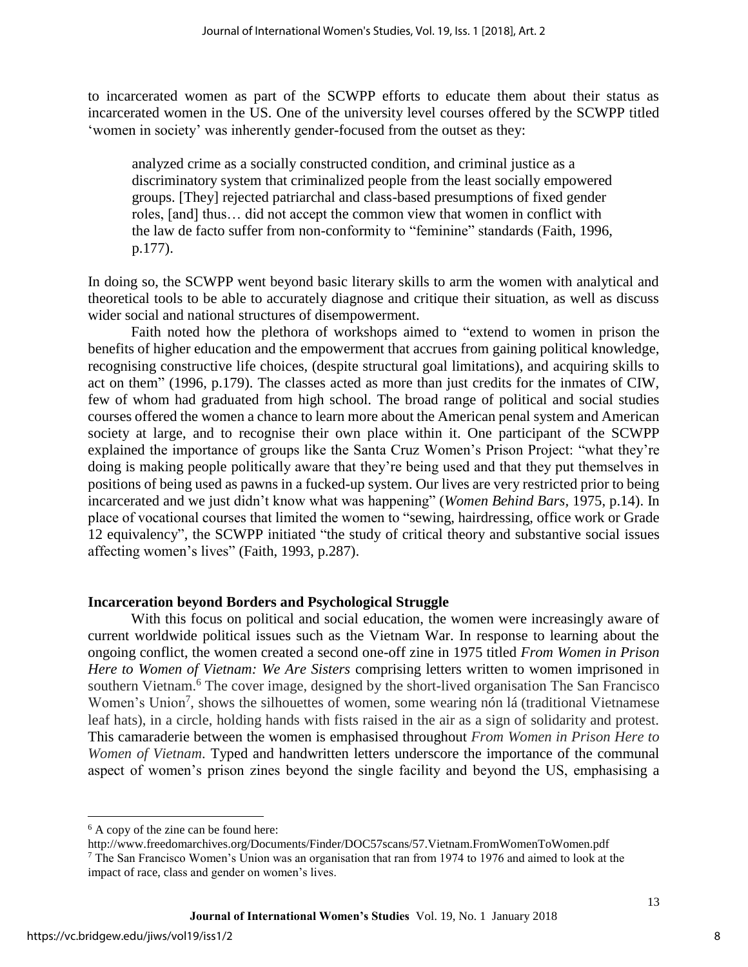to incarcerated women as part of the SCWPP efforts to educate them about their status as incarcerated women in the US. One of the university level courses offered by the SCWPP titled 'women in society' was inherently gender-focused from the outset as they:

analyzed crime as a socially constructed condition, and criminal justice as a discriminatory system that criminalized people from the least socially empowered groups. [They] rejected patriarchal and class-based presumptions of fixed gender roles, [and] thus… did not accept the common view that women in conflict with the law de facto suffer from non-conformity to "feminine" standards (Faith, 1996, p.177).

In doing so, the SCWPP went beyond basic literary skills to arm the women with analytical and theoretical tools to be able to accurately diagnose and critique their situation, as well as discuss wider social and national structures of disempowerment.

Faith noted how the plethora of workshops aimed to "extend to women in prison the benefits of higher education and the empowerment that accrues from gaining political knowledge, recognising constructive life choices, (despite structural goal limitations), and acquiring skills to act on them" (1996, p.179). The classes acted as more than just credits for the inmates of CIW, few of whom had graduated from high school. The broad range of political and social studies courses offered the women a chance to learn more about the American penal system and American society at large, and to recognise their own place within it. One participant of the SCWPP explained the importance of groups like the Santa Cruz Women's Prison Project: "what they're doing is making people politically aware that they're being used and that they put themselves in positions of being used as pawns in a fucked-up system. Our lives are very restricted prior to being incarcerated and we just didn't know what was happening" (*Women Behind Bars,* 1975, p.14). In place of vocational courses that limited the women to "sewing, hairdressing, office work or Grade 12 equivalency", the SCWPP initiated "the study of critical theory and substantive social issues affecting women's lives" (Faith, 1993, p.287).

#### **Incarceration beyond Borders and Psychological Struggle**

With this focus on political and social education, the women were increasingly aware of current worldwide political issues such as the Vietnam War. In response to learning about the ongoing conflict, the women created a second one-off zine in 1975 titled *From Women in Prison Here to Women of Vietnam: We Are Sisters* comprising letters written to women imprisoned in southern Vietnam.<sup>6</sup> The cover image, designed by the short-lived organisation The San Francisco Women's Union<sup>7</sup>, shows the silhouettes of women, some wearing nón lá (traditional Vietnamese leaf hats), in a circle, holding hands with fists raised in the air as a sign of solidarity and protest. This camaraderie between the women is emphasised throughout *From Women in Prison Here to Women of Vietnam*. Typed and handwritten letters underscore the importance of the communal aspect of women's prison zines beyond the single facility and beyond the US, emphasising a

http://www.freedomarchives.org/Documents/Finder/DOC57scans/57.Vietnam.FromWomenToWomen.pdf <sup>7</sup> The San Francisco Women's Union was an organisation that ran from 1974 to 1976 and aimed to look at the impact of race, class and gender on women's lives.

 $\overline{\phantom{a}}$ 

<sup>6</sup> A copy of the zine can be found here: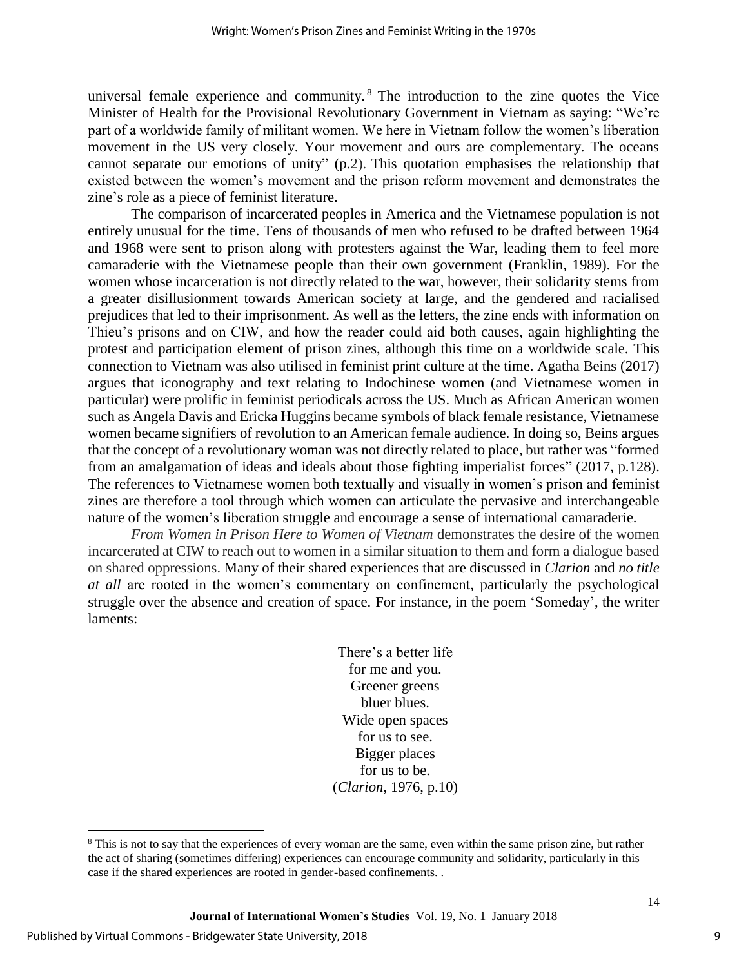universal female experience and community. <sup>8</sup> The introduction to the zine quotes the Vice Minister of Health for the Provisional Revolutionary Government in Vietnam as saying: "We're part of a worldwide family of militant women. We here in Vietnam follow the women's liberation movement in the US very closely. Your movement and ours are complementary. The oceans cannot separate our emotions of unity" (p.2). This quotation emphasises the relationship that existed between the women's movement and the prison reform movement and demonstrates the zine's role as a piece of feminist literature.

The comparison of incarcerated peoples in America and the Vietnamese population is not entirely unusual for the time. Tens of thousands of men who refused to be drafted between 1964 and 1968 were sent to prison along with protesters against the War, leading them to feel more camaraderie with the Vietnamese people than their own government (Franklin, 1989). For the women whose incarceration is not directly related to the war, however, their solidarity stems from a greater disillusionment towards American society at large, and the gendered and racialised prejudices that led to their imprisonment. As well as the letters, the zine ends with information on Thieu's prisons and on CIW, and how the reader could aid both causes, again highlighting the protest and participation element of prison zines, although this time on a worldwide scale. This connection to Vietnam was also utilised in feminist print culture at the time. Agatha Beins (2017) argues that iconography and text relating to Indochinese women (and Vietnamese women in particular) were prolific in feminist periodicals across the US. Much as African American women such as Angela Davis and Ericka Huggins became symbols of black female resistance, Vietnamese women became signifiers of revolution to an American female audience. In doing so, Beins argues that the concept of a revolutionary woman was not directly related to place, but rather was "formed from an amalgamation of ideas and ideals about those fighting imperialist forces" (2017, p.128). The references to Vietnamese women both textually and visually in women's prison and feminist zines are therefore a tool through which women can articulate the pervasive and interchangeable nature of the women's liberation struggle and encourage a sense of international camaraderie.

*From Women in Prison Here to Women of Vietnam* demonstrates the desire of the women incarcerated at CIW to reach out to women in a similar situation to them and form a dialogue based on shared oppressions. Many of their shared experiences that are discussed in *Clarion* and *no title at all* are rooted in the women's commentary on confinement*,* particularly the psychological struggle over the absence and creation of space. For instance, in the poem 'Someday', the writer laments:

> There's a better life for me and you. Greener greens bluer blues. Wide open spaces for us to see. Bigger places for us to be. (*Clarion*, 1976, p.10)

 $\overline{\phantom{a}}$ 

<sup>&</sup>lt;sup>8</sup> This is not to say that the experiences of every woman are the same, even within the same prison zine, but rather the act of sharing (sometimes differing) experiences can encourage community and solidarity, particularly in this case if the shared experiences are rooted in gender-based confinements. .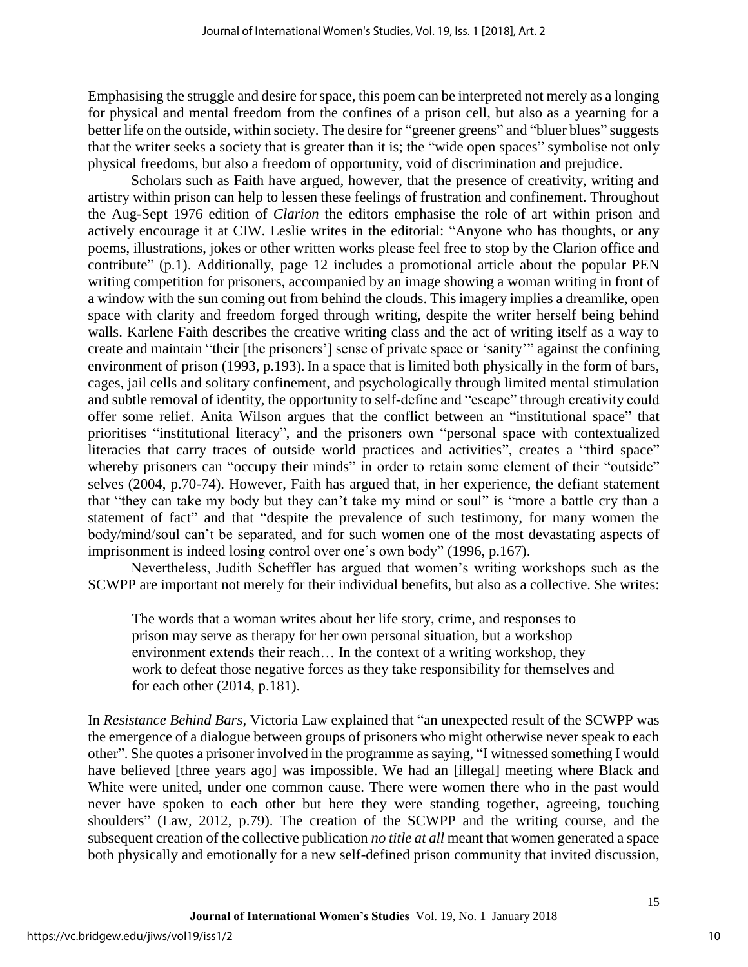Emphasising the struggle and desire for space, this poem can be interpreted not merely as a longing for physical and mental freedom from the confines of a prison cell, but also as a yearning for a better life on the outside, within society. The desire for "greener greens" and "bluer blues" suggests that the writer seeks a society that is greater than it is; the "wide open spaces" symbolise not only physical freedoms, but also a freedom of opportunity, void of discrimination and prejudice.

Scholars such as Faith have argued, however, that the presence of creativity, writing and artistry within prison can help to lessen these feelings of frustration and confinement. Throughout the Aug-Sept 1976 edition of *Clarion* the editors emphasise the role of art within prison and actively encourage it at CIW. Leslie writes in the editorial: "Anyone who has thoughts, or any poems, illustrations, jokes or other written works please feel free to stop by the Clarion office and contribute" (p.1). Additionally, page 12 includes a promotional article about the popular PEN writing competition for prisoners, accompanied by an image showing a woman writing in front of a window with the sun coming out from behind the clouds. This imagery implies a dreamlike, open space with clarity and freedom forged through writing, despite the writer herself being behind walls. Karlene Faith describes the creative writing class and the act of writing itself as a way to create and maintain "their [the prisoners'] sense of private space or 'sanity'" against the confining environment of prison (1993, p.193). In a space that is limited both physically in the form of bars, cages, jail cells and solitary confinement, and psychologically through limited mental stimulation and subtle removal of identity, the opportunity to self-define and "escape" through creativity could offer some relief. Anita Wilson argues that the conflict between an "institutional space" that prioritises "institutional literacy", and the prisoners own "personal space with contextualized literacies that carry traces of outside world practices and activities", creates a "third space" whereby prisoners can "occupy their minds" in order to retain some element of their "outside" selves (2004, p.70-74). However, Faith has argued that, in her experience, the defiant statement that "they can take my body but they can't take my mind or soul" is "more a battle cry than a statement of fact" and that "despite the prevalence of such testimony, for many women the body/mind/soul can't be separated, and for such women one of the most devastating aspects of imprisonment is indeed losing control over one's own body" (1996, p.167).

Nevertheless, Judith Scheffler has argued that women's writing workshops such as the SCWPP are important not merely for their individual benefits, but also as a collective. She writes:

The words that a woman writes about her life story, crime, and responses to prison may serve as therapy for her own personal situation, but a workshop environment extends their reach… In the context of a writing workshop, they work to defeat those negative forces as they take responsibility for themselves and for each other (2014, p.181).

In *Resistance Behind Bars,* Victoria Law explained that "an unexpected result of the SCWPP was the emergence of a dialogue between groups of prisoners who might otherwise never speak to each other". She quotes a prisoner involved in the programme as saying, "I witnessed something I would have believed [three years ago] was impossible. We had an [illegal] meeting where Black and White were united, under one common cause. There were women there who in the past would never have spoken to each other but here they were standing together, agreeing, touching shoulders" (Law, 2012, p.79). The creation of the SCWPP and the writing course, and the subsequent creation of the collective publication *no title at all* meant that women generated a space both physically and emotionally for a new self-defined prison community that invited discussion,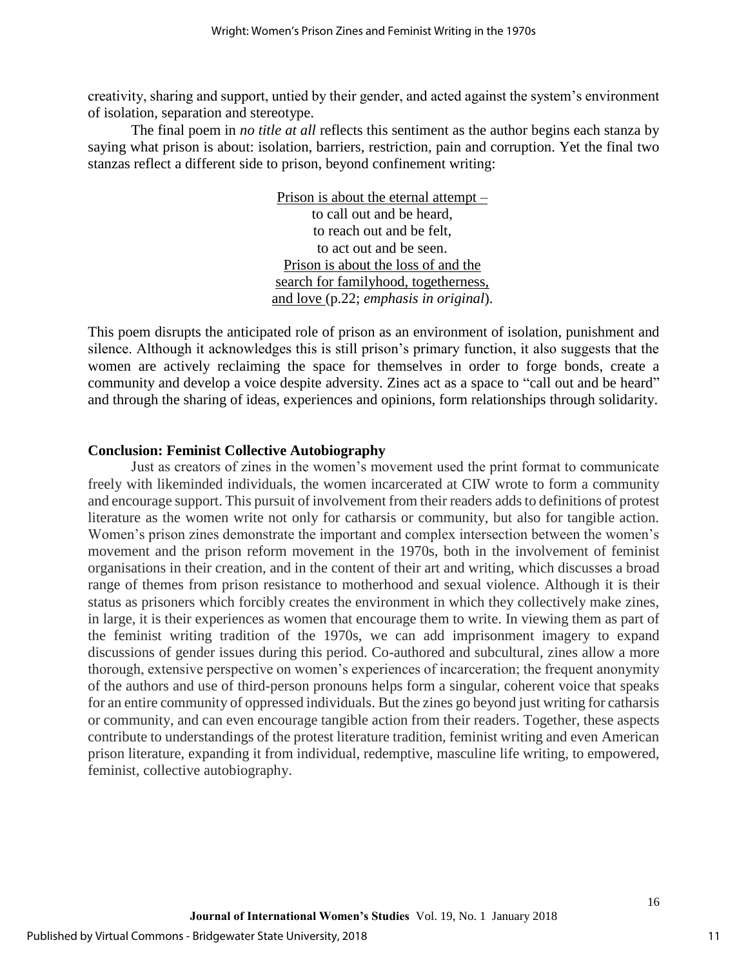creativity, sharing and support, untied by their gender, and acted against the system's environment of isolation, separation and stereotype.

The final poem in *no title at all* reflects this sentiment as the author begins each stanza by saying what prison is about: isolation, barriers, restriction, pain and corruption. Yet the final two stanzas reflect a different side to prison, beyond confinement writing:

> Prison is about the eternal attempt – to call out and be heard, to reach out and be felt, to act out and be seen. Prison is about the loss of and the search for familyhood, togetherness, and love (p.22; *emphasis in original*).

This poem disrupts the anticipated role of prison as an environment of isolation, punishment and silence. Although it acknowledges this is still prison's primary function, it also suggests that the women are actively reclaiming the space for themselves in order to forge bonds, create a community and develop a voice despite adversity. Zines act as a space to "call out and be heard" and through the sharing of ideas, experiences and opinions, form relationships through solidarity.

#### **Conclusion: Feminist Collective Autobiography**

Just as creators of zines in the women's movement used the print format to communicate freely with likeminded individuals, the women incarcerated at CIW wrote to form a community and encourage support. This pursuit of involvement from their readers adds to definitions of protest literature as the women write not only for catharsis or community, but also for tangible action. Women's prison zines demonstrate the important and complex intersection between the women's movement and the prison reform movement in the 1970s, both in the involvement of feminist organisations in their creation, and in the content of their art and writing, which discusses a broad range of themes from prison resistance to motherhood and sexual violence. Although it is their status as prisoners which forcibly creates the environment in which they collectively make zines, in large, it is their experiences as women that encourage them to write. In viewing them as part of the feminist writing tradition of the 1970s, we can add imprisonment imagery to expand discussions of gender issues during this period. Co-authored and subcultural, zines allow a more thorough, extensive perspective on women's experiences of incarceration; the frequent anonymity of the authors and use of third-person pronouns helps form a singular, coherent voice that speaks for an entire community of oppressed individuals. But the zines go beyond just writing for catharsis or community, and can even encourage tangible action from their readers. Together, these aspects contribute to understandings of the protest literature tradition, feminist writing and even American prison literature, expanding it from individual, redemptive, masculine life writing, to empowered, feminist, collective autobiography.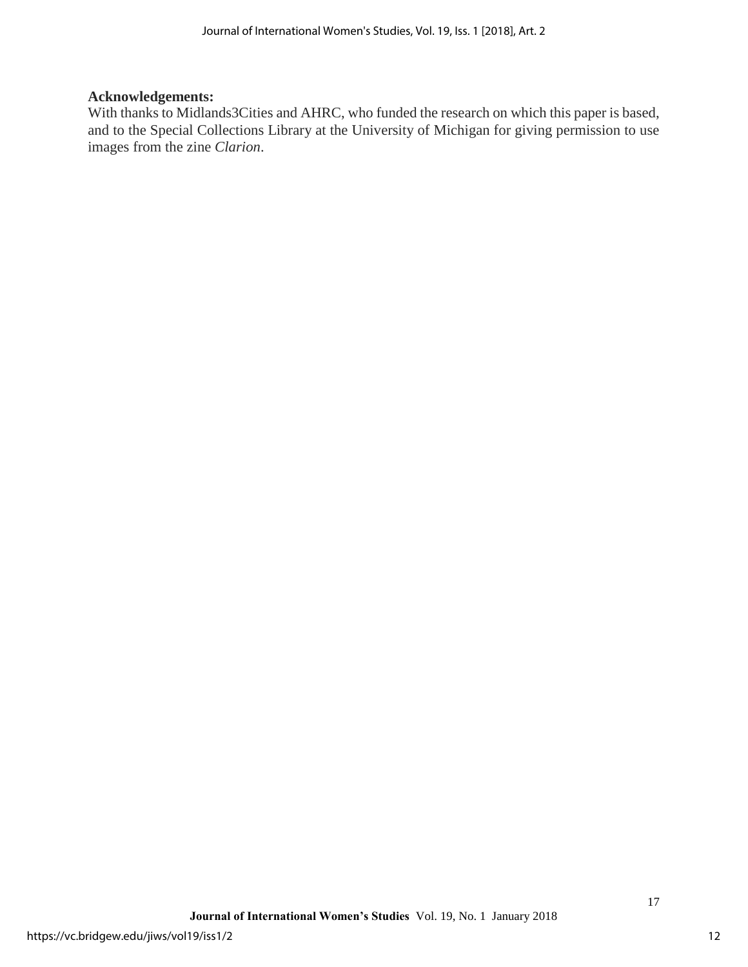### **Acknowledgements:**

With thanks to Midlands3Cities and AHRC, who funded the research on which this paper is based, and to the Special Collections Library at the University of Michigan for giving permission to use images from the zine *Clarion*.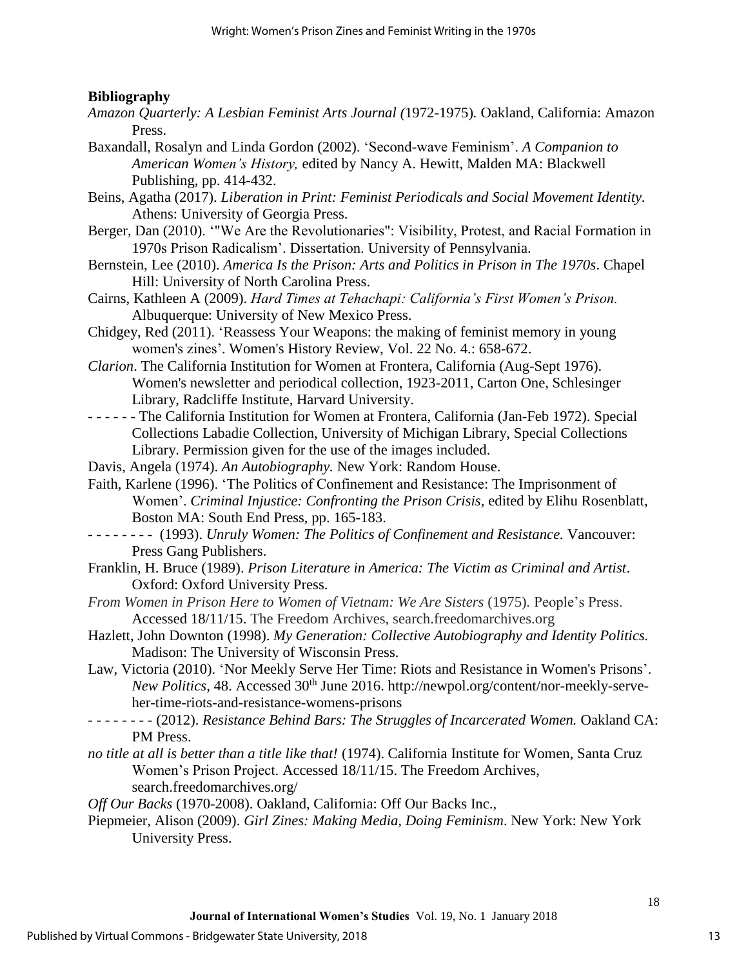#### **Bibliography**

- *Amazon Quarterly: A Lesbian Feminist Arts Journal (*1972-1975)*.* Oakland, California: Amazon Press.
- Baxandall, Rosalyn and Linda Gordon (2002). 'Second-wave Feminism'. *A Companion to American Women's History,* edited by Nancy A. Hewitt, Malden MA: Blackwell Publishing, pp. 414-432.
- Beins, Agatha (2017). *Liberation in Print: Feminist Periodicals and Social Movement Identity.*  Athens: University of Georgia Press.
- Berger, Dan (2010). '"We Are the Revolutionaries": Visibility, Protest, and Racial Formation in 1970s Prison Radicalism'. Dissertation. University of Pennsylvania.
- Bernstein, Lee (2010). *America Is the Prison: Arts and Politics in Prison in The 1970s*. Chapel Hill: University of North Carolina Press.
- Cairns, Kathleen A (2009). *Hard Times at Tehachapi: California's First Women's Prison.*  Albuquerque: University of New Mexico Press.
- Chidgey, Red (2011). 'Reassess Your Weapons: the making of feminist memory in young women's zines'. Women's History Review, Vol. 22 No. 4.: 658-672.
- *Clarion*. The California Institution for Women at Frontera, California (Aug-Sept 1976). Women's newsletter and periodical collection, 1923-2011, Carton One, Schlesinger Library, Radcliffe Institute, Harvard University.
- - - - The California Institution for Women at Frontera, California (Jan-Feb 1972). Special Collections Labadie Collection, University of Michigan Library, Special Collections Library. Permission given for the use of the images included.
- Davis, Angela (1974). *An Autobiography.* New York: Random House.
- Faith, Karlene (1996). 'The Politics of Confinement and Resistance: The Imprisonment of Women'. *Criminal Injustice: Confronting the Prison Crisis,* edited by Elihu Rosenblatt, Boston MA: South End Press, pp. 165-183.
- - - - - (1993). *Unruly Women: The Politics of Confinement and Resistance.* Vancouver: Press Gang Publishers.
- Franklin, H. Bruce (1989). *Prison Literature in America: The Victim as Criminal and Artist*. Oxford: Oxford University Press.
- *From Women in Prison Here to Women of Vietnam: We Are Sisters (1975). People's Press.* Accessed 18/11/15. The Freedom Archives, search.freedomarchives.org
- Hazlett, John Downton (1998). *My Generation: Collective Autobiography and Identity Politics.*  Madison: The University of Wisconsin Press.
- Law, Victoria (2010). 'Nor Meekly Serve Her Time: Riots and Resistance in Women's Prisons'. *New Politics*, 48. Accessed 30<sup>th</sup> June 2016. http://newpol.org/content/nor-meekly-serveher-time-riots-and-resistance-womens-prisons
- - - - - (2012). *Resistance Behind Bars: The Struggles of Incarcerated Women.* Oakland CA: PM Press.
- *no title at all is better than a title like that!* (1974). California Institute for Women, Santa Cruz Women's Prison Project. Accessed 18/11/15. The Freedom Archives, search.freedomarchives.org/
- *Off Our Backs* (1970-2008). Oakland, California: Off Our Backs Inc.,
- Piepmeier, Alison (2009). *Girl Zines: Making Media, Doing Feminism*. New York: New York University Press.